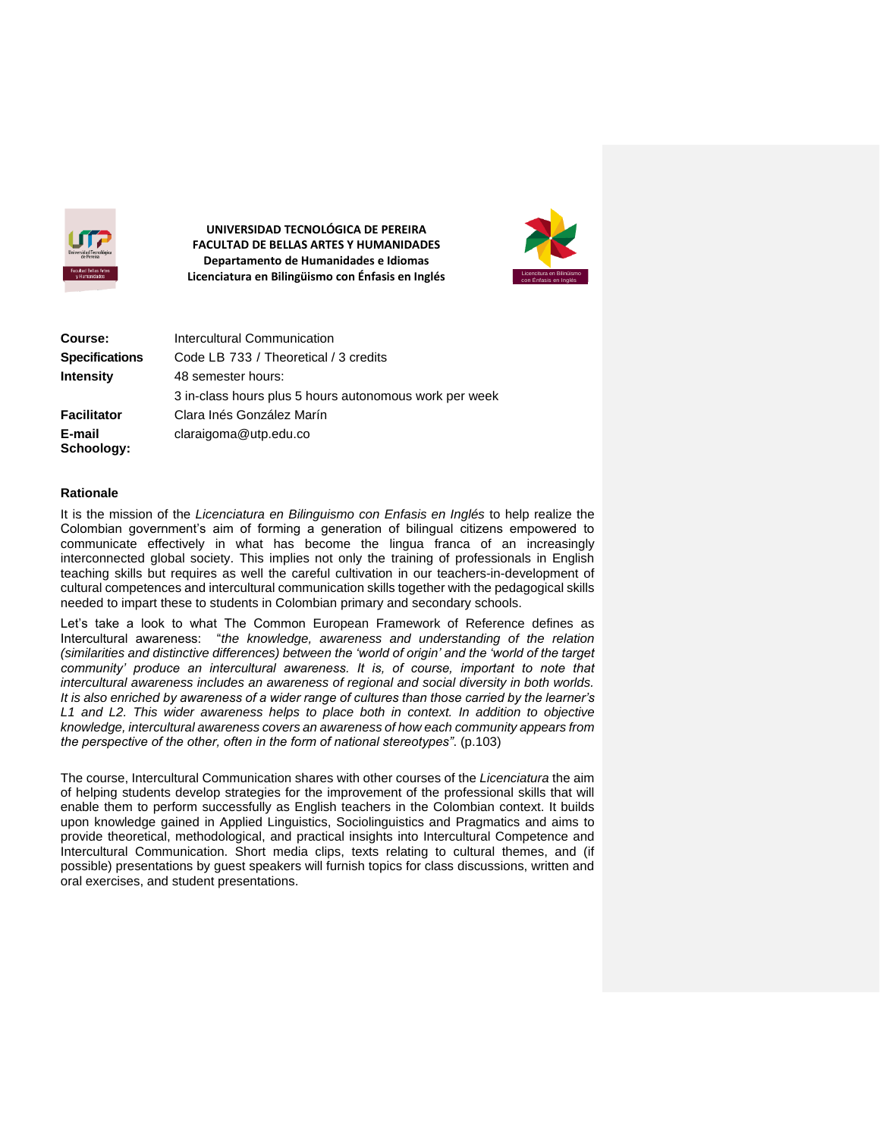

**UNIVERSIDAD TECNOLÓGICA DE PEREIRA FACULTAD DE BELLAS ARTES Y HUMANIDADES Departamento de Humanidades e Idiomas Licenciatura en Bilingüismo con Énfasis en Inglés** 



| Course:               | Intercultural Communication                            |
|-----------------------|--------------------------------------------------------|
| <b>Specifications</b> | Code LB 733 / Theoretical / 3 credits                  |
| <b>Intensity</b>      | 48 semester hours:                                     |
|                       | 3 in-class hours plus 5 hours autonomous work per week |
| <b>Facilitator</b>    | Clara Inés González Marín                              |
| E-mail<br>Schoology:  | claraigoma@utp.edu.co                                  |

#### **Rationale**

It is the mission of the *Licenciatura en Bilinguismo con Enfasis en Inglés* to help realize the Colombian government's aim of forming a generation of bilingual citizens empowered to communicate effectively in what has become the lingua franca of an increasingly interconnected global society. This implies not only the training of professionals in English teaching skills but requires as well the careful cultivation in our teachers-in-development of cultural competences and intercultural communication skills together with the pedagogical skills needed to impart these to students in Colombian primary and secondary schools.

Let's take a look to what The Common European Framework of Reference defines as Intercultural awareness: "*the knowledge, awareness and understanding of the relation (similarities and distinctive differences) between the 'world of origin' and the 'world of the target community' produce an intercultural awareness. It is, of course, important to note that intercultural awareness includes an awareness of regional and social diversity in both worlds. It is also enriched by awareness of a wider range of cultures than those carried by the learner's L1 and L2. This wider awareness helps to place both in context. In addition to objective knowledge, intercultural awareness covers an awareness of how each community appears from the perspective of the other, often in the form of national stereotypes"*. (p.103)

The course, Intercultural Communication shares with other courses of the *Licenciatura* the aim of helping students develop strategies for the improvement of the professional skills that will enable them to perform successfully as English teachers in the Colombian context. It builds upon knowledge gained in Applied Linguistics, Sociolinguistics and Pragmatics and aims to provide theoretical, methodological, and practical insights into Intercultural Competence and Intercultural Communication. Short media clips, texts relating to cultural themes, and (if possible) presentations by guest speakers will furnish topics for class discussions, written and oral exercises, and student presentations.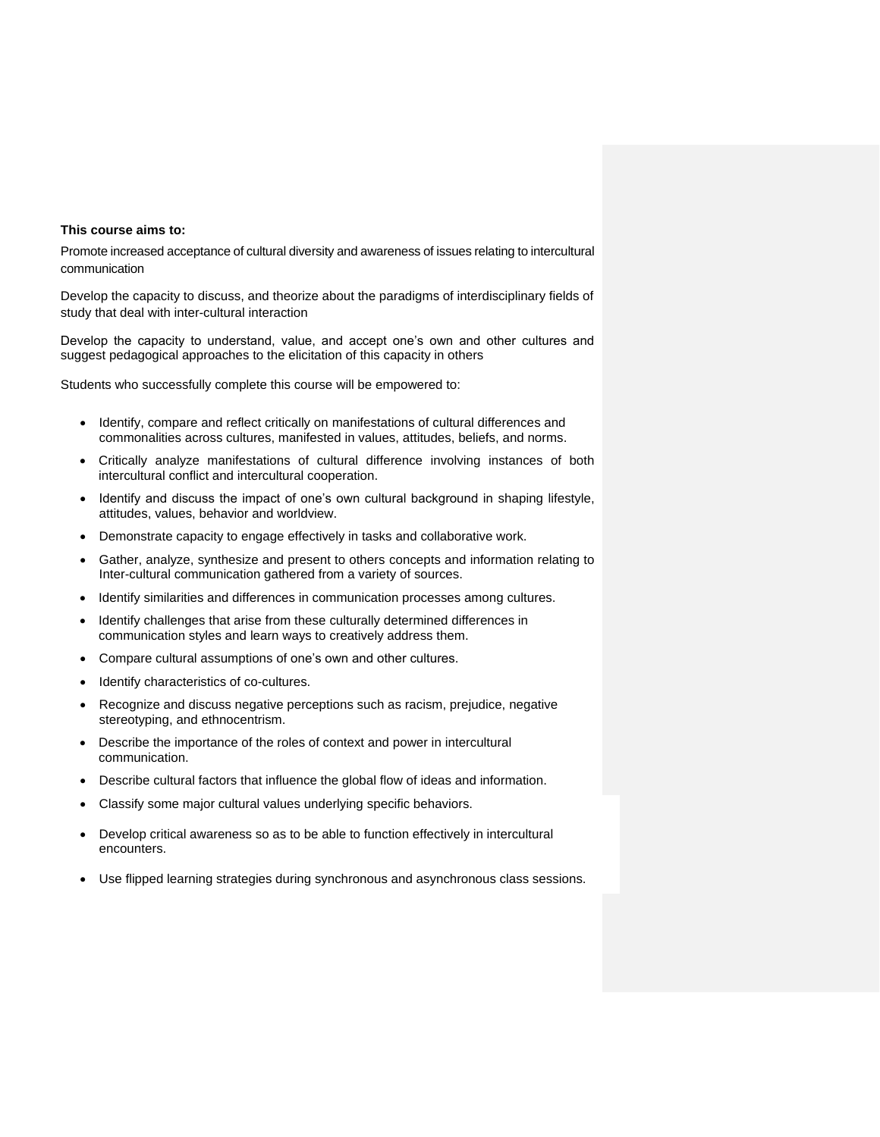#### **This course aims to:**

Promote increased acceptance of cultural diversity and awareness of issues relating to intercultural communication

Develop the capacity to discuss, and theorize about the paradigms of interdisciplinary fields of study that deal with inter-cultural interaction

Develop the capacity to understand, value, and accept one's own and other cultures and suggest pedagogical approaches to the elicitation of this capacity in others

Students who successfully complete this course will be empowered to:

- Identify, compare and reflect critically on manifestations of cultural differences and commonalities across cultures, manifested in values, attitudes, beliefs, and norms.
- Critically analyze manifestations of cultural difference involving instances of both intercultural conflict and intercultural cooperation.
- Identify and discuss the impact of one's own cultural background in shaping lifestyle, attitudes, values, behavior and worldview.
- Demonstrate capacity to engage effectively in tasks and collaborative work.
- Gather, analyze, synthesize and present to others concepts and information relating to Inter-cultural communication gathered from a variety of sources.
- Identify similarities and differences in communication processes among cultures.
- Identify challenges that arise from these culturally determined differences in communication styles and learn ways to creatively address them.
- Compare cultural assumptions of one's own and other cultures.
- Identify characteristics of co-cultures.
- Recognize and discuss negative perceptions such as racism, prejudice, negative stereotyping, and ethnocentrism.
- Describe the importance of the roles of context and power in intercultural communication.
- Describe cultural factors that influence the global flow of ideas and information.
- Classify some major cultural values underlying specific behaviors.
- Develop critical awareness so as to be able to function effectively in intercultural encounters.
- Use flipped learning strategies during synchronous and asynchronous class sessions.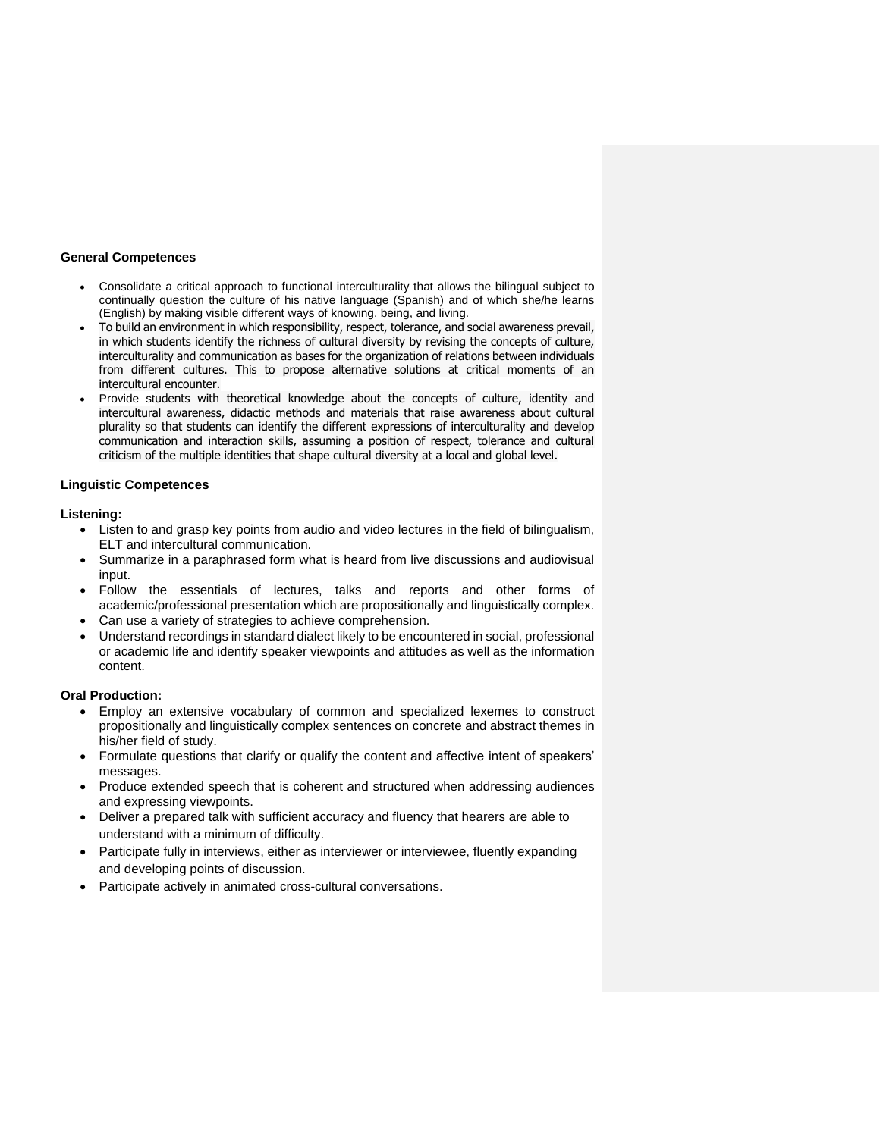#### **General Competences**

- Consolidate a critical approach to functional interculturality that allows the bilingual subject to continually question the culture of his native language (Spanish) and of which she/he learns (English) by making visible different ways of knowing, being, and living.
- To build an environment in which responsibility, respect, tolerance, and social awareness prevail, in which students identify the richness of cultural diversity by revising the concepts of culture, interculturality and communication as bases for the organization of relations between individuals from different cultures. This to propose alternative solutions at critical moments of an intercultural encounter.
- Provide students with theoretical knowledge about the concepts of culture, identity and intercultural awareness, didactic methods and materials that raise awareness about cultural plurality so that students can identify the different expressions of interculturality and develop communication and interaction skills, assuming a position of respect, tolerance and cultural criticism of the multiple identities that shape cultural diversity at a local and global level.

#### **Linguistic Competences**

#### **Listening:**

- Listen to and grasp key points from audio and video lectures in the field of bilingualism, ELT and intercultural communication.
- Summarize in a paraphrased form what is heard from live discussions and audiovisual input.
- Follow the essentials of lectures, talks and reports and other forms of academic/professional presentation which are propositionally and linguistically complex.
- Can use a variety of strategies to achieve comprehension.
- Understand recordings in standard dialect likely to be encountered in social, professional or academic life and identify speaker viewpoints and attitudes as well as the information content.

## **Oral Production:**

- Employ an extensive vocabulary of common and specialized lexemes to construct propositionally and linguistically complex sentences on concrete and abstract themes in his/her field of study.
- Formulate questions that clarify or qualify the content and affective intent of speakers' messages.
- Produce extended speech that is coherent and structured when addressing audiences and expressing viewpoints.
- Deliver a prepared talk with sufficient accuracy and fluency that hearers are able to understand with a minimum of difficulty.
- Participate fully in interviews, either as interviewer or interviewee, fluently expanding and developing points of discussion.
- Participate actively in animated cross-cultural conversations.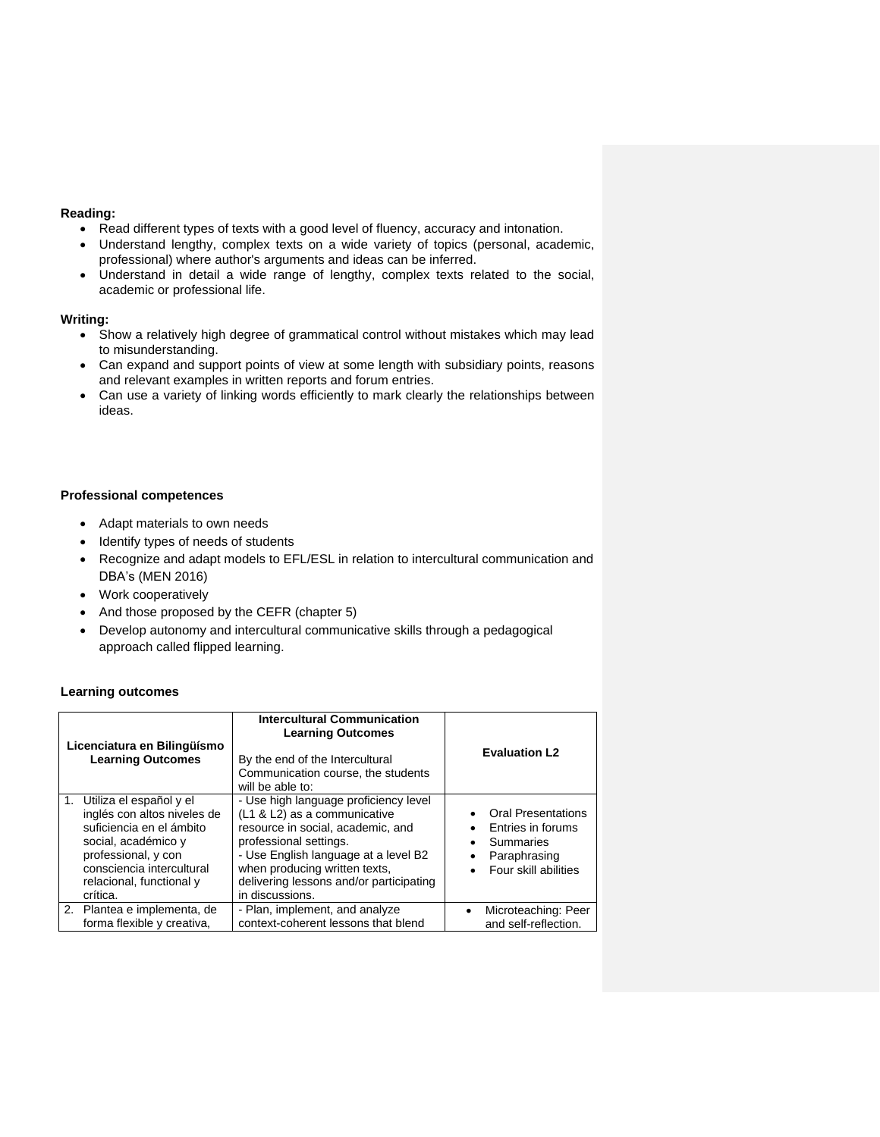# **Reading:**

- Read different types of texts with a good level of fluency, accuracy and intonation.
- Understand lengthy, complex texts on a wide variety of topics (personal, academic, professional) where author's arguments and ideas can be inferred.
- Understand in detail a wide range of lengthy, complex texts related to the social, academic or professional life.

# **Writing:**

- Show a relatively high degree of grammatical control without mistakes which may lead to misunderstanding.
- Can expand and support points of view at some length with subsidiary points, reasons and relevant examples in written reports and forum entries.
- Can use a variety of linking words efficiently to mark clearly the relationships between ideas.

#### **Professional competences**

- Adapt materials to own needs
- Identify types of needs of students
- Recognize and adapt models to EFL/ESL in relation to intercultural communication and DBA's (MEN 2016)
- Work cooperatively
- And those proposed by the CEFR (chapter 5)
- Develop autonomy and intercultural communicative skills through a pedagogical approach called flipped learning.

## **Learning outcomes**

| Licenciatura en Bilingüísmo<br><b>Learning Outcomes</b>                                                                                                                                                  | <b>Intercultural Communication</b><br><b>Learning Outcomes</b><br>By the end of the Intercultural<br>Communication course, the students<br>will be able to:                                                                                                                 | <b>Evaluation L2</b>                                                                                                                    |
|----------------------------------------------------------------------------------------------------------------------------------------------------------------------------------------------------------|-----------------------------------------------------------------------------------------------------------------------------------------------------------------------------------------------------------------------------------------------------------------------------|-----------------------------------------------------------------------------------------------------------------------------------------|
| 1. Utiliza el español y el<br>inglés con altos niveles de<br>suficiencia en el ámbito<br>social, académico y<br>professional, y con<br>consciencia intercultural<br>relacional, functional y<br>crítica. | - Use high language proficiency level<br>(L1 & L2) as a communicative<br>resource in social, academic, and<br>professional settings.<br>- Use English language at a level B2<br>when producing written texts,<br>delivering lessons and/or participating<br>in discussions. | <b>Oral Presentations</b><br>Entries in forums<br>$\bullet$<br>Summaries<br>٠<br>Paraphrasing<br>٠<br>Four skill abilities<br>$\bullet$ |
| 2. Plantea e implementa, de<br>forma flexible y creativa,                                                                                                                                                | - Plan, implement, and analyze<br>context-coherent lessons that blend                                                                                                                                                                                                       | Microteaching: Peer<br>$\bullet$<br>and self-reflection.                                                                                |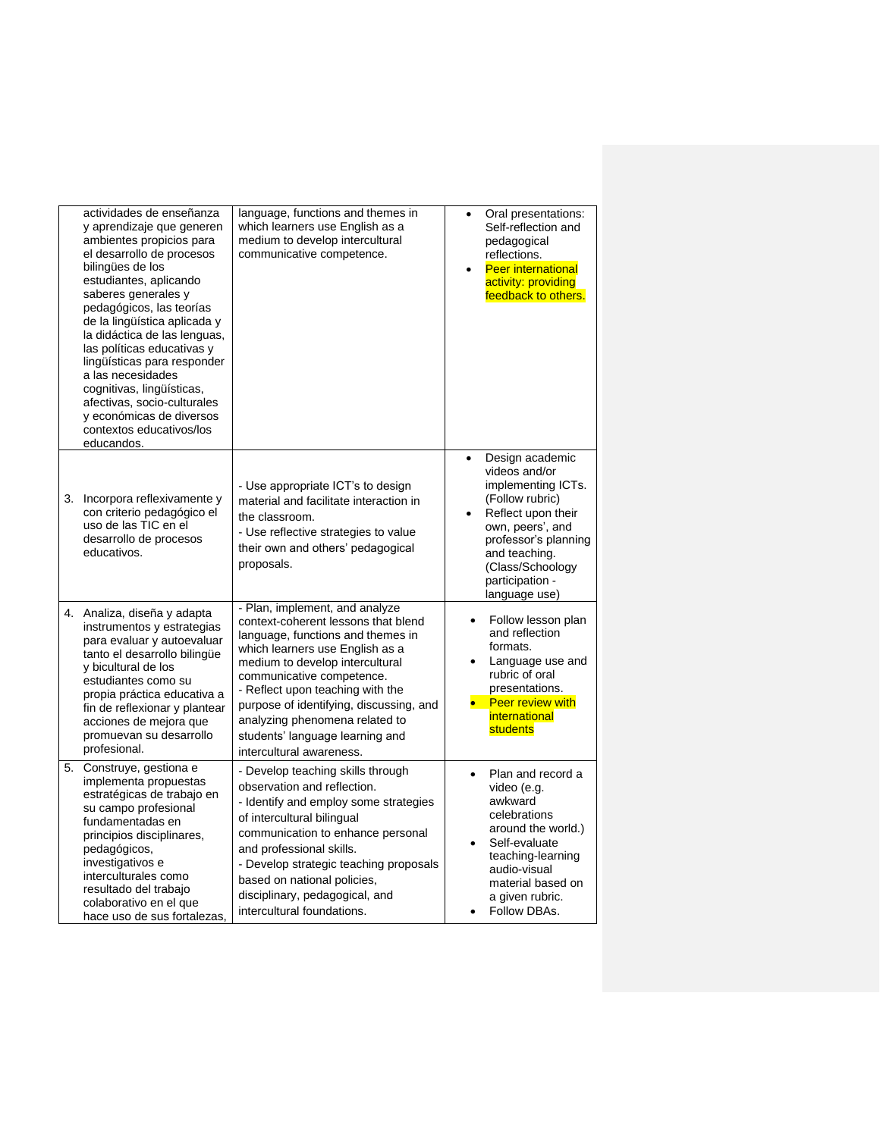|    | actividades de enseñanza<br>y aprendizaje que generen<br>ambientes propicios para<br>el desarrollo de procesos<br>bilingües de los<br>estudiantes, aplicando<br>saberes generales y<br>pedagógicos, las teorías<br>de la lingüística aplicada y<br>la didáctica de las lenguas,<br>las políticas educativas y<br>lingüísticas para responder<br>a las necesidades<br>cognitivas, lingüísticas,<br>afectivas, socio-culturales<br>y económicas de diversos<br>contextos educativos/los<br>educandos. | language, functions and themes in<br>which learners use English as a<br>medium to develop intercultural<br>communicative competence.                                                                                                                                                                                                                                                          | Oral presentations:<br>$\bullet$<br>Self-reflection and<br>pedagogical<br>reflections.<br><b>Peer international</b><br>$\bullet$<br>activity: providing<br>feedback to others.                                                                 |
|----|-----------------------------------------------------------------------------------------------------------------------------------------------------------------------------------------------------------------------------------------------------------------------------------------------------------------------------------------------------------------------------------------------------------------------------------------------------------------------------------------------------|-----------------------------------------------------------------------------------------------------------------------------------------------------------------------------------------------------------------------------------------------------------------------------------------------------------------------------------------------------------------------------------------------|------------------------------------------------------------------------------------------------------------------------------------------------------------------------------------------------------------------------------------------------|
|    | 3. Incorpora reflexivamente y<br>con criterio pedagógico el<br>uso de las TIC en el<br>desarrollo de procesos<br>educativos.                                                                                                                                                                                                                                                                                                                                                                        | - Use appropriate ICT's to design<br>material and facilitate interaction in<br>the classroom.<br>- Use reflective strategies to value<br>their own and others' pedagogical<br>proposals.                                                                                                                                                                                                      | Design academic<br>$\bullet$<br>videos and/or<br>implementing ICTs.<br>(Follow rubric)<br>Reflect upon their<br>$\bullet$<br>own, peers', and<br>professor's planning<br>and teaching.<br>(Class/Schoology<br>participation -<br>language use) |
|    | 4. Analiza, diseña y adapta<br>instrumentos y estrategias<br>para evaluar y autoevaluar<br>tanto el desarrollo bilingüe<br>y bicultural de los<br>estudiantes como su<br>propia práctica educativa a<br>fin de reflexionar y plantear<br>acciones de mejora que<br>promuevan su desarrollo<br>profesional.                                                                                                                                                                                          | - Plan, implement, and analyze<br>context-coherent lessons that blend<br>language, functions and themes in<br>which learners use English as a<br>medium to develop intercultural<br>communicative competence.<br>- Reflect upon teaching with the<br>purpose of identifying, discussing, and<br>analyzing phenomena related to<br>students' language learning and<br>intercultural awareness. | Follow lesson plan<br>$\bullet$<br>and reflection<br>formats.<br>Language use and<br>rubric of oral<br>presentations.<br><b>Peer review with</b><br>$\bullet$ .<br>international<br>students                                                   |
| 5. | Construye, gestiona e<br>implementa propuestas<br>estratégicas de trabajo en<br>su campo profesional<br>fundamentadas en<br>principios disciplinares,<br>pedagógicos,<br>investigativos e<br>interculturales como<br>resultado del trabajo<br>colaborativo en el que<br>hace uso de sus fortalezas,                                                                                                                                                                                                 | - Develop teaching skills through<br>observation and reflection.<br>- Identify and employ some strategies<br>of intercultural bilingual<br>communication to enhance personal<br>and professional skills.<br>- Develop strategic teaching proposals<br>based on national policies,<br>disciplinary, pedagogical, and<br>intercultural foundations.                                             | Plan and record a<br>$\bullet$<br>video (e.g.<br>awkward<br>celebrations<br>around the world.)<br>Self-evaluate<br>teaching-learning<br>audio-visual<br>material based on<br>a given rubric.<br>Follow DBAs.                                   |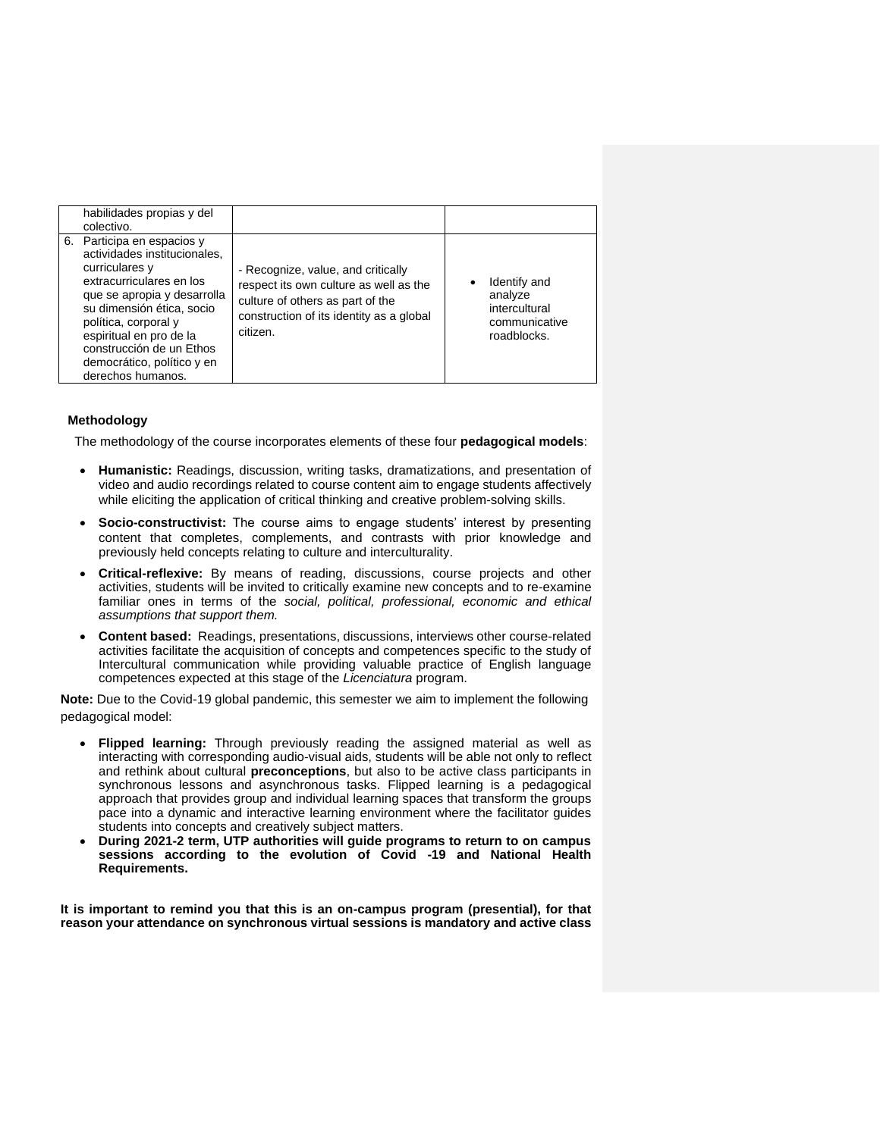| habilidades propias y del<br>colectivo.                                                                                                                                                                                                                                                                |                                                                                                                                                                          |                                                                          |
|--------------------------------------------------------------------------------------------------------------------------------------------------------------------------------------------------------------------------------------------------------------------------------------------------------|--------------------------------------------------------------------------------------------------------------------------------------------------------------------------|--------------------------------------------------------------------------|
| 6. Participa en espacios y<br>actividades institucionales.<br>curriculares y<br>extracurriculares en los<br>que se apropia y desarrolla<br>su dimensión ética, socio<br>política, corporal y<br>espiritual en pro de la<br>construcción de un Ethos<br>democrático, político y en<br>derechos humanos. | - Recognize, value, and critically<br>respect its own culture as well as the<br>culture of others as part of the<br>construction of its identity as a global<br>citizen. | Identify and<br>analyze<br>intercultural<br>communicative<br>roadblocks. |

#### **Methodology**

The methodology of the course incorporates elements of these four **pedagogical models**:

- **Humanistic:** Readings, discussion, writing tasks, dramatizations, and presentation of video and audio recordings related to course content aim to engage students affectively while eliciting the application of critical thinking and creative problem-solving skills.
- **Socio-constructivist:** The course aims to engage students' interest by presenting content that completes, complements, and contrasts with prior knowledge and previously held concepts relating to culture and interculturality.
- **Critical-reflexive:** By means of reading, discussions, course projects and other activities, students will be invited to critically examine new concepts and to re-examine familiar ones in terms of the *social, political, professional, economic and ethical assumptions that support them.*
- **Content based:** Readings, presentations, discussions, interviews other course-related activities facilitate the acquisition of concepts and competences specific to the study of Intercultural communication while providing valuable practice of English language competences expected at this stage of the *Licenciatura* program.

**Note:** Due to the Covid-19 global pandemic, this semester we aim to implement the following pedagogical model:

- **Flipped learning:** Through previously reading the assigned material as well as interacting with corresponding audio-visual aids, students will be able not only to reflect and rethink about cultural **preconceptions**, but also to be active class participants in synchronous lessons and asynchronous tasks. Flipped learning is a pedagogical approach that provides group and individual learning spaces that transform the groups pace into a dynamic and interactive learning environment where the facilitator guides students into concepts and creatively subject matters.
- **During 2021-2 term, UTP authorities will guide programs to return to on campus sessions according to the evolution of Covid -19 and National Health Requirements.**

**It is important to remind you that this is an on-campus program (presential), for that reason your attendance on synchronous virtual sessions is mandatory and active class**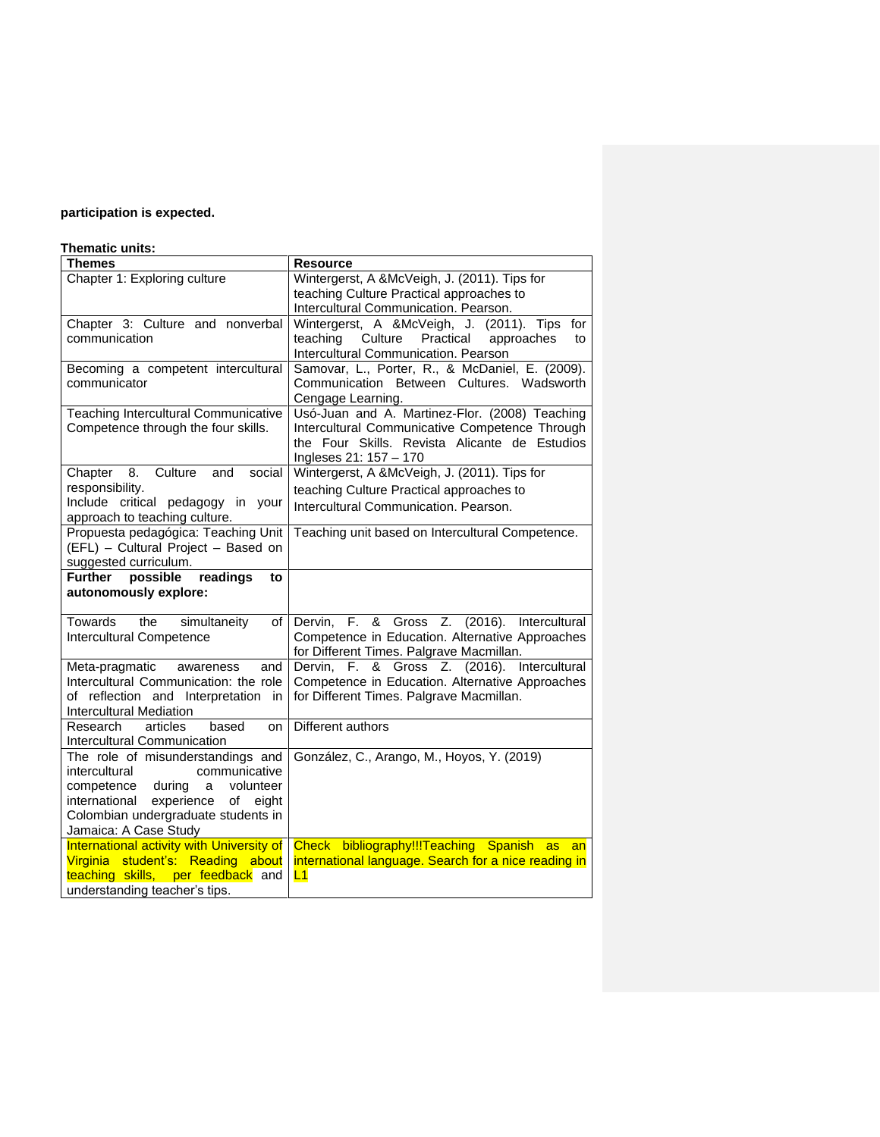# **participation is expected.**

# **Thematic units:**

| <b>Themes</b>                                         | <b>Resource</b>                                                                                 |
|-------------------------------------------------------|-------------------------------------------------------------------------------------------------|
| Chapter 1: Exploring culture                          | Wintergerst, A &McVeigh, J. (2011). Tips for                                                    |
|                                                       | teaching Culture Practical approaches to                                                        |
|                                                       | Intercultural Communication. Pearson.                                                           |
| Chapter 3: Culture and nonverbal                      | Wintergerst, A &McVeigh, J. (2011). Tips<br>for                                                 |
| communication                                         | Practical<br>teaching<br>Culture<br>approaches<br>to                                            |
|                                                       | Intercultural Communication. Pearson                                                            |
| Becoming a competent intercultural                    | Samovar, L., Porter, R., & McDaniel, E. (2009).                                                 |
| communicator                                          | Communication Between Cultures. Wadsworth                                                       |
|                                                       | Cengage Learning.                                                                               |
| Teaching Intercultural Communicative                  | Usó-Juan and A. Martinez-Flor. (2008) Teaching                                                  |
| Competence through the four skills.                   | Intercultural Communicative Competence Through<br>the Four Skills. Revista Alicante de Estudios |
|                                                       |                                                                                                 |
| 8.<br>Culture<br>social<br>and                        | Ingleses 21: 157 - 170<br>Wintergerst, A &McVeigh, J. (2011). Tips for                          |
| Chapter<br>responsibility.                            |                                                                                                 |
| Include critical pedagogy in your                     | teaching Culture Practical approaches to                                                        |
| approach to teaching culture.                         | Intercultural Communication. Pearson.                                                           |
| Propuesta pedagógica: Teaching Unit                   | Teaching unit based on Intercultural Competence.                                                |
| (EFL) - Cultural Project - Based on                   |                                                                                                 |
| suggested curriculum.                                 |                                                                                                 |
| Further<br>possible<br>readings<br>to                 |                                                                                                 |
| autonomously explore:                                 |                                                                                                 |
| Towards<br>the                                        |                                                                                                 |
| simultaneity<br>of<br><b>Intercultural Competence</b> | Dervin, F. & Gross Z. (2016). Intercultural<br>Competence in Education. Alternative Approaches  |
|                                                       | for Different Times. Palgrave Macmillan.                                                        |
| Meta-pragmatic<br>and<br>awareness                    | Gross Z. (2016). Intercultural<br>Dervin,<br>&<br>F.                                            |
| Intercultural Communication: the role                 | Competence in Education. Alternative Approaches                                                 |
| of reflection and Interpretation in                   | for Different Times. Palgrave Macmillan.                                                        |
| <b>Intercultural Mediation</b>                        |                                                                                                 |
| articles<br>Research<br>based<br>on                   | Different authors                                                                               |
| <b>Intercultural Communication</b>                    |                                                                                                 |
| The role of misunderstandings and                     | González, C., Arango, M., Hoyos, Y. (2019)                                                      |
| intercultural<br>communicative                        |                                                                                                 |
| competence during<br>a<br>volunteer                   |                                                                                                 |
| international<br>experience<br>of<br>eight            |                                                                                                 |
| Colombian undergraduate students in                   |                                                                                                 |
| Jamaica: A Case Study                                 |                                                                                                 |
| International activity with University of             | Check bibliography!!!Teaching Spanish<br>as<br>an                                               |
| Virginia student's: Reading about                     | international language. Search for a nice reading in                                            |
| teaching skills, per feedback and                     | L1                                                                                              |
| understanding teacher's tips.                         |                                                                                                 |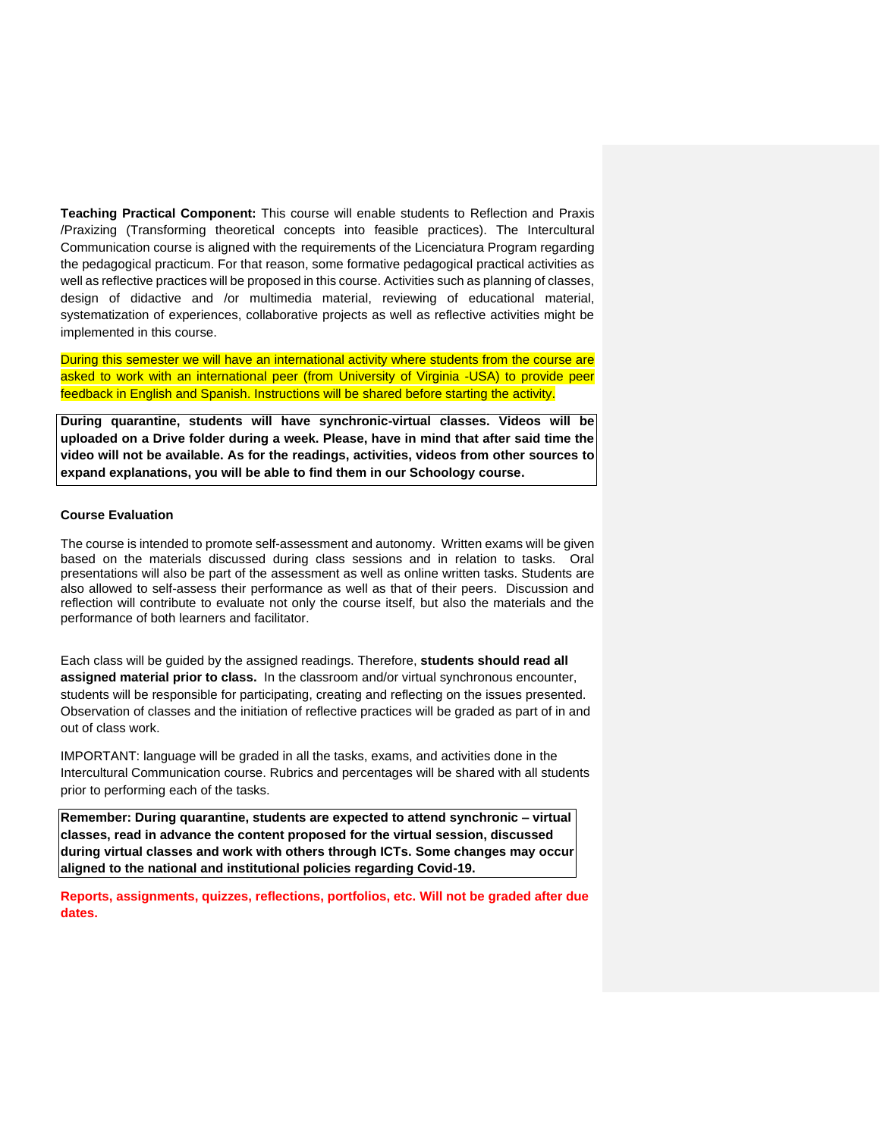**Teaching Practical Component:** This course will enable students to Reflection and Praxis /Praxizing (Transforming theoretical concepts into feasible practices). The Intercultural Communication course is aligned with the requirements of the Licenciatura Program regarding the pedagogical practicum. For that reason, some formative pedagogical practical activities as well as reflective practices will be proposed in this course. Activities such as planning of classes, design of didactive and /or multimedia material, reviewing of educational material, systematization of experiences, collaborative projects as well as reflective activities might be implemented in this course.

During this semester we will have an international activity where students from the course are asked to work with an international peer (from University of Virginia -USA) to provide peer feedback in English and Spanish. Instructions will be shared before starting the activity.

**During quarantine, students will have synchronic-virtual classes. Videos will be uploaded on a Drive folder during a week. Please, have in mind that after said time the video will not be available. As for the readings, activities, videos from other sources to expand explanations, you will be able to find them in our Schoology course.** 

#### **Course Evaluation**

The course is intended to promote self-assessment and autonomy. Written exams will be given based on the materials discussed during class sessions and in relation to tasks. Oral presentations will also be part of the assessment as well as online written tasks. Students are also allowed to self-assess their performance as well as that of their peers. Discussion and reflection will contribute to evaluate not only the course itself, but also the materials and the performance of both learners and facilitator.

Each class will be guided by the assigned readings. Therefore, **students should read all assigned material prior to class.** In the classroom and/or virtual synchronous encounter, students will be responsible for participating, creating and reflecting on the issues presented. Observation of classes and the initiation of reflective practices will be graded as part of in and out of class work.

IMPORTANT: language will be graded in all the tasks, exams, and activities done in the Intercultural Communication course. Rubrics and percentages will be shared with all students prior to performing each of the tasks.

**Remember: During quarantine, students are expected to attend synchronic – virtual classes, read in advance the content proposed for the virtual session, discussed during virtual classes and work with others through ICTs. Some changes may occur aligned to the national and institutional policies regarding Covid-19.** 

**Reports, assignments, quizzes, reflections, portfolios, etc. Will not be graded after due dates.**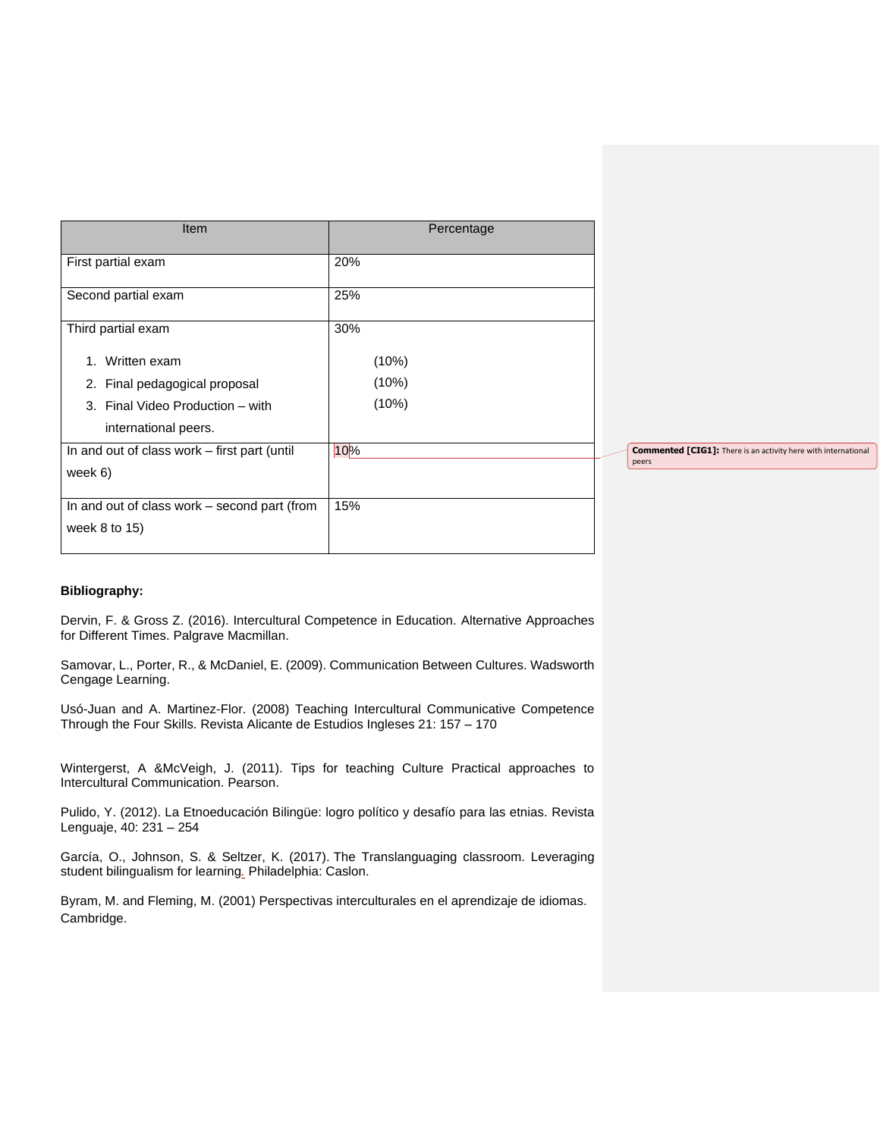| Item                                         | Percentage |                                                                       |
|----------------------------------------------|------------|-----------------------------------------------------------------------|
| First partial exam                           | 20%        |                                                                       |
| Second partial exam                          | 25%        |                                                                       |
| Third partial exam                           | 30%        |                                                                       |
| 1. Written exam                              | (10%)      |                                                                       |
| 2. Final pedagogical proposal                | (10%)      |                                                                       |
| Final Video Production - with<br>3.          | (10%)      |                                                                       |
| international peers.                         |            |                                                                       |
| In and out of class work - first part (until | 10%        | <b>Commented [CIG1]:</b> There is an activity here with international |
| week 6)                                      |            | peers                                                                 |
| In and out of class work - second part (from | 15%        |                                                                       |
| week 8 to 15)                                |            |                                                                       |
|                                              |            |                                                                       |

## **Bibliography:**

Dervin, F. & Gross Z. (2016). Intercultural Competence in Education. Alternative Approaches for Different Times. Palgrave Macmillan.

Samovar, L., Porter, R., & McDaniel, E. (2009). Communication Between Cultures. Wadsworth Cengage Learning.

Usó-Juan and A. Martinez-Flor. (2008) Teaching Intercultural Communicative Competence Through the Four Skills. Revista Alicante de Estudios Ingleses 21: 157 – 170

Wintergerst, A &McVeigh, J. (2011). Tips for teaching Culture Practical approaches to Intercultural Communication. Pearson.

Pulido, Y. (2012). La Etnoeducación Bilingüe: logro político y desafío para las etnias. Revista Lenguaje, 40: 231 – 254

García, O., Johnson, S. & Seltzer, K. (2017). The [Translanguaging](https://www.caslonpublishing.com/titles/21/translanguaging-classrooms/) classroom. Leveraging student [bilingualism](https://www.caslonpublishing.com/titles/21/translanguaging-classrooms/) for learning*.* Philadelphia: Caslon.

Byram, M. and Fleming, M. (2001) Perspectivas interculturales en el aprendizaje de idiomas. Cambridge.